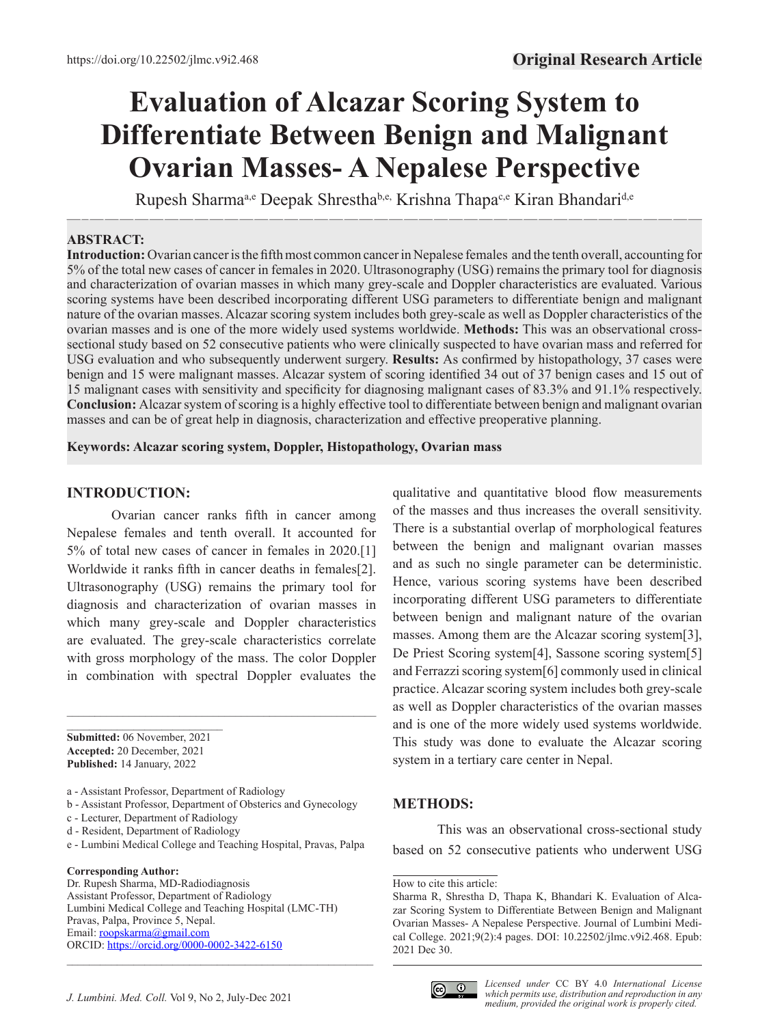# **Evaluation of Alcazar Scoring System to Differentiate Between Benign and Malignant Ovarian Masses- A Nepalese Perspective**

—–————————————————————————————————————————— Rupesh Sharmaa,e Deepak Shresthab,e, Krishna Thapac,e Kiran Bhandarid,e

#### **ABSTRACT:**

**Introduction:** Ovarian cancer is the fifth most common cancer in Nepalese females and the tenth overall, accounting for 5% of the total new cases of cancer in females in 2020. Ultrasonography (USG) remains the primary tool for diagnosis and characterization of ovarian masses in which many grey-scale and Doppler characteristics are evaluated. Various scoring systems have been described incorporating different USG parameters to differentiate benign and malignant nature of the ovarian masses. Alcazar scoring system includes both grey-scale as well as Doppler characteristics of the ovarian masses and is one of the more widely used systems worldwide. **Methods:** This was an observational crosssectional study based on 52 consecutive patients who were clinically suspected to have ovarian mass and referred for USG evaluation and who subsequently underwent surgery. **Results:** As confirmed by histopathology, 37 cases were benign and 15 were malignant masses. Alcazar system of scoring identified 34 out of 37 benign cases and 15 out of 15 malignant cases with sensitivity and specificity for diagnosing malignant cases of 83.3% and 91.1% respectively. **Conclusion:** Alcazar system of scoring is a highly effective tool to differentiate between benign and malignant ovarian masses and can be of great help in diagnosis, characterization and effective preoperative planning.

**Keywords: Alcazar scoring system, Doppler, Histopathology, Ovarian mass**

#### **INTRODUCTION:**

Ovarian cancer ranks fifth in cancer among Nepalese females and tenth overall. It accounted for 5% of total new cases of cancer in females in 2020.[1] Worldwide it ranks fifth in cancer deaths in females[2]. Ultrasonography (USG) remains the primary tool for diagnosis and characterization of ovarian masses in which many grey-scale and Doppler characteristics are evaluated. The grey-scale characteristics correlate with gross morphology of the mass. The color Doppler in combination with spectral Doppler evaluates the

**Submitted:** 06 November, 2021 **Accepted:** 20 December, 2021 **Published:** 14 January, 2022

 $\mathcal{L}=\mathcal{L}=\mathcal{L}=\mathcal{L}=\mathcal{L}=\mathcal{L}=\mathcal{L}=\mathcal{L}=\mathcal{L}=\mathcal{L}=\mathcal{L}=\mathcal{L}=\mathcal{L}=\mathcal{L}=\mathcal{L}=\mathcal{L}=\mathcal{L}=\mathcal{L}=\mathcal{L}=\mathcal{L}=\mathcal{L}=\mathcal{L}=\mathcal{L}=\mathcal{L}=\mathcal{L}=\mathcal{L}=\mathcal{L}=\mathcal{L}=\mathcal{L}=\mathcal{L}=\mathcal{L}=\mathcal{L}=\mathcal{L}=\mathcal{L}=\mathcal{L}=\mathcal{L}=\mathcal{$ 

a - Assistant Professor, Department of Radiology

b - Assistant Professor, Department of Obsterics and Gynecology

c - Lecturer, Department of Radiology

d - Resident, Department of Radiology

e - Lumbini Medical College and Teaching Hospital, Pravas, Palpa

#### **Corresponding Author:**

Dr. Rupesh Sharma, MD-Radiodiagnosis Assistant Professor, Department of Radiology Lumbini Medical College and Teaching Hospital (LMC-TH) Pravas, Palpa, Province 5, Nepal. Email: [roopskarma@gmail.com](mailto:roopskarma@gmail.com) ORCID: [https://orcid.org](https://orcid.org/0000-0002-3422-6150)/0000-0002-3422-6150

qualitative and quantitative blood flow measurements of the masses and thus increases the overall sensitivity. There is a substantial overlap of morphological features between the benign and malignant ovarian masses and as such no single parameter can be deterministic. Hence, various scoring systems have been described incorporating different USG parameters to differentiate between benign and malignant nature of the ovarian masses. Among them are the Alcazar scoring system[3], De Priest Scoring system[4], Sassone scoring system[5] and Ferrazzi scoring system[6] commonly used in clinical practice. Alcazar scoring system includes both grey-scale as well as Doppler characteristics of the ovarian masses and is one of the more widely used systems worldwide. This study was done to evaluate the Alcazar scoring system in a tertiary care center in Nepal.

### **METHODS:**

This was an observational cross-sectional study based on 52 consecutive patients who underwent USG

How to cite this article:



Sharma R, Shrestha D, Thapa K, Bhandari K. Evaluation of Alcazar Scoring System to Differentiate Between Benign and Malignant Ovarian Masses- A Nepalese Perspective. Journal of Lumbini Medical College. 2021;9(2):4 pages. DOI: 10.22502/jlmc.v9i2.468. Epub: 2021 Dec 30.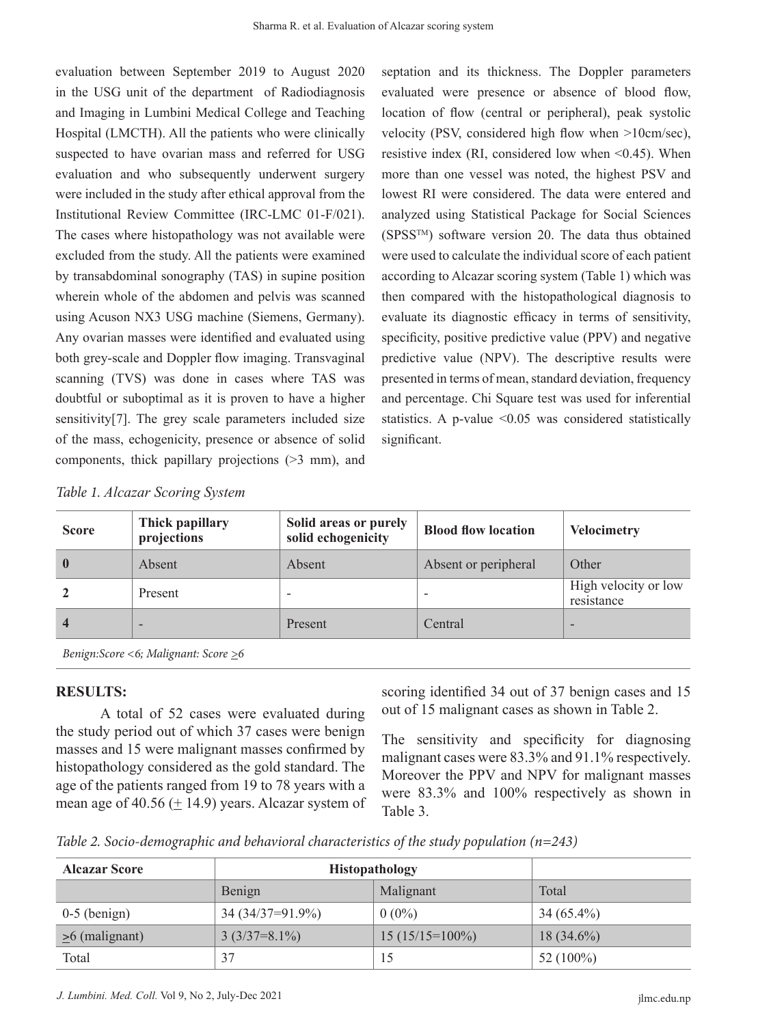evaluation between September 2019 to August 2020 in the USG unit of the department of Radiodiagnosis and Imaging in Lumbini Medical College and Teaching Hospital (LMCTH). All the patients who were clinically suspected to have ovarian mass and referred for USG evaluation and who subsequently underwent surgery were included in the study after ethical approval from the Institutional Review Committee (IRC-LMC 01-F/021). The cases where histopathology was not available were excluded from the study. All the patients were examined by transabdominal sonography (TAS) in supine position wherein whole of the abdomen and pelvis was scanned using Acuson NX3 USG machine (Siemens, Germany). Any ovarian masses were identified and evaluated using both grey-scale and Doppler flow imaging. Transvaginal scanning (TVS) was done in cases where TAS was doubtful or suboptimal as it is proven to have a higher sensitivity[7]. The grey scale parameters included size of the mass, echogenicity, presence or absence of solid components, thick papillary projections (>3 mm), and septation and its thickness. The Doppler parameters evaluated were presence or absence of blood flow, location of flow (central or peripheral), peak systolic velocity (PSV, considered high flow when >10cm/sec), resistive index (RI, considered low when  $\leq 0.45$ ). When more than one vessel was noted, the highest PSV and lowest RI were considered. The data were entered and analyzed using Statistical Package for Social Sciences (SPSSTM) software version 20. The data thus obtained were used to calculate the individual score of each patient according to Alcazar scoring system (Table 1) which was then compared with the histopathological diagnosis to evaluate its diagnostic efficacy in terms of sensitivity, specificity, positive predictive value (PPV) and negative predictive value (NPV). The descriptive results were presented in terms of mean, standard deviation, frequency and percentage. Chi Square test was used for inferential statistics. A p-value  $\leq 0.05$  was considered statistically significant.

| <b>Score</b> | Thick papillary<br>projections | Solid areas or purely<br>solid echogenicity | <b>Blood flow location</b> | <b>Velocimetry</b>                 |
|--------------|--------------------------------|---------------------------------------------|----------------------------|------------------------------------|
|              | Absent                         | Absent                                      | Absent or peripheral       | Other                              |
|              | Present                        |                                             |                            | High velocity or low<br>resistance |
|              | $\overline{\phantom{0}}$       | Present                                     | Central                    | $\overline{\phantom{0}}$           |

*Benign:Score <6; Malignant: Score >6*

### **RESULTS:**

A total of 52 cases were evaluated during the study period out of which 37 cases were benign masses and 15 were malignant masses confirmed by histopathology considered as the gold standard. The age of the patients ranged from 19 to 78 years with a mean age of 40.56  $(+ 14.9)$  years. Alcazar system of scoring identified 34 out of 37 benign cases and 15 out of 15 malignant cases as shown in Table 2.

The sensitivity and specificity for diagnosing malignant cases were 83.3% and 91.1% respectively. Moreover the PPV and NPV for malignant masses were 83.3% and 100% respectively as shown in Table 3.

*Table 2. Socio-demographic and behavioral characteristics of the study population (n=243)*

| <b>Alcazar Score</b> | Histopathology     |                   |              |
|----------------------|--------------------|-------------------|--------------|
|                      | Benign             | Malignant         | Total        |
| $0-5$ (benign)       | $34(34/37=91.9\%)$ | $0(0\%)$          | $34(65.4\%)$ |
| $\geq 6$ (malignant) | $3(3/37=8.1\%)$    | $15(15/15=100\%)$ | $18(34.6\%)$ |
| Total                | 37                 |                   | 52 $(100\%)$ |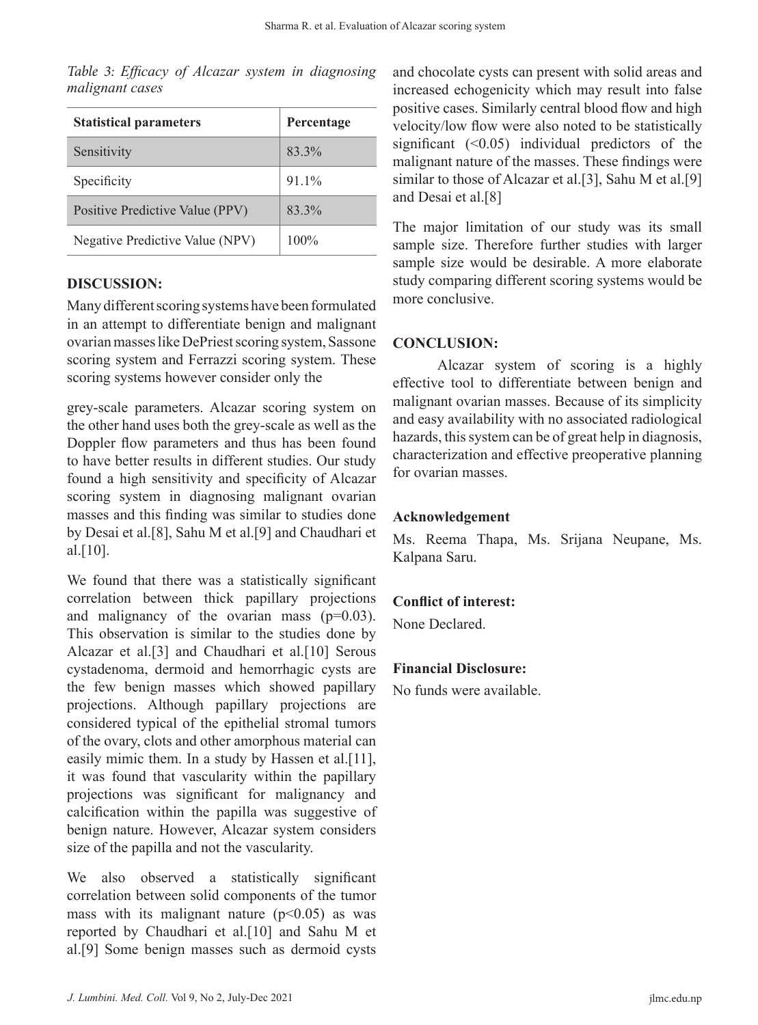*Table 3: Efficacy of Alcazar system in diagnosing malignant cases*

| <b>Statistical parameters</b>   | Percentage |
|---------------------------------|------------|
| Sensitivity                     | 83.3%      |
| Specificity                     | 91.1%      |
| Positive Predictive Value (PPV) | 83.3%      |
| Negative Predictive Value (NPV) | $100\%$    |

### **DISCUSSION:**

Many different scoring systems have been formulated in an attempt to differentiate benign and malignant ovarian masses like DePriest scoring system, Sassone scoring system and Ferrazzi scoring system. These scoring systems however consider only the

grey-scale parameters. Alcazar scoring system on the other hand uses both the grey-scale as well as the Doppler flow parameters and thus has been found to have better results in different studies. Our study found a high sensitivity and specificity of Alcazar scoring system in diagnosing malignant ovarian masses and this finding was similar to studies done by Desai et al.[8], Sahu M et al.[9] and Chaudhari et al.[10].

We found that there was a statistically significant correlation between thick papillary projections and malignancy of the ovarian mass  $(p=0.03)$ . This observation is similar to the studies done by Alcazar et al.[3] and Chaudhari et al.[10] Serous cystadenoma, dermoid and hemorrhagic cysts are the few benign masses which showed papillary projections. Although papillary projections are considered typical of the epithelial stromal tumors of the ovary, clots and other amorphous material can easily mimic them. In a study by Hassen et al.[11], it was found that vascularity within the papillary projections was significant for malignancy and calcification within the papilla was suggestive of benign nature. However, Alcazar system considers size of the papilla and not the vascularity.

We also observed a statistically significant correlation between solid components of the tumor mass with its malignant nature  $(p<0.05)$  as was reported by Chaudhari et al.[10] and Sahu M et al.[9] Some benign masses such as dermoid cysts

and chocolate cysts can present with solid areas and increased echogenicity which may result into false positive cases. Similarly central blood flow and high velocity/low flow were also noted to be statistically significant  $(0.05)$  individual predictors of the malignant nature of the masses. These findings were similar to those of Alcazar et al.[3], Sahu M et al.[9] and Desai et al.[8]

The major limitation of our study was its small sample size. Therefore further studies with larger sample size would be desirable. A more elaborate study comparing different scoring systems would be more conclusive.

# **CONCLUSION:**

Alcazar system of scoring is a highly effective tool to differentiate between benign and malignant ovarian masses. Because of its simplicity and easy availability with no associated radiological hazards, this system can be of great help in diagnosis, characterization and effective preoperative planning for ovarian masses.

# **Acknowledgement**

Ms. Reema Thapa, Ms. Srijana Neupane, Ms. Kalpana Saru.

# **Conflict of interest:**

None Declared.

# **Financial Disclosure:**

No funds were available.